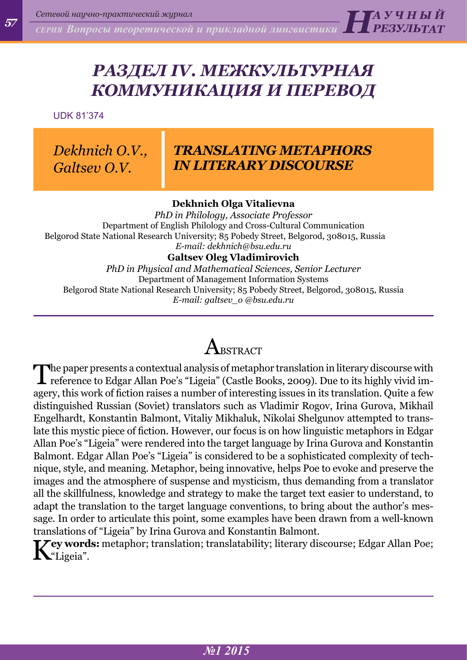*СЕРИЯ Вопросы теоретической и прикладной лингвистики РЕЗУЛЬТАТ*

## *РАЗДЕЛ IV. МЕЖКУЛЬТУРНАЯ КОММУНИКАЦИЯ И ПЕРЕВОД*

UDK 81'374

*Dekhnich O.V., Galtsev O.V.*

### *TRANSLATING METAPHORS IN LITERARY DISCOURSE*

*Н А <sup>У</sup> Ч Н Ы Й* 

### **Dekhnich Olga Vitalievna**

*PhD in Philology, Associate Professor* Department of English Philology and Cross-Cultural Communication Belgorod State National Research University; 85 Pobedy Street, Belgorod, 308015, Russia *E-mail: [dekhnich@bsu.edu.ru](mailto:dekhnich@bsu.edu.ru)*

### **Galtsev Oleg Vladimirovich**

*PhD in Physical and Mathematical Sciences, Senior Lecturer* Department of Management Information Systems Belgorod State National Research University; 85 Pobedy Street, Belgorod, 308015, Russia *E-mail: galtsev\_o @bsu.edu.ru*

## $\rm A$ rstract

The paper presents a contextual analysis of metaphor translation in literary discourse with reference to Edgar Allan Poe's "Ligeia" (Castle Books, 2009). Due to its highly vivid imagery, this work of fiction raises a number of interesting issues in its translation. Quite a few distinguished Russian (Soviet) translators such as Vladimir Rogov, Irina Gurova, Mikhail Engelhardt, Konstantin Balmont, Vitaliy Mikhaluk, Nikolai Shelgunov attempted to translate this mystic piece of fiction. However, our focus is on how linguistic metaphors in Edgar Allan Poe's "Ligeia" were rendered into the target language by Irina Gurova and Konstantin Balmont. Edgar Allan Poe's "Ligeia" is considered to be a sophisticated complexity of technique, style, and meaning. Metaphor, being innovative, helps Poe to evoke and preserve the images and the atmosphere of suspense and mysticism, thus demanding from a translator all the skillfulness, knowledge and strategy to make the target text easier to understand, to adapt the translation to the target language conventions, to bring about the author's message. In order to articulate this point, some examples have been drawn from a well-known translations of "Ligeia" by Irina Gurova and Konstantin Balmont.

**They words:** metaphor; translation; translatability; literary discourse; Edgar Allan Poe;  $\mathbf{N}$ "Ligeia".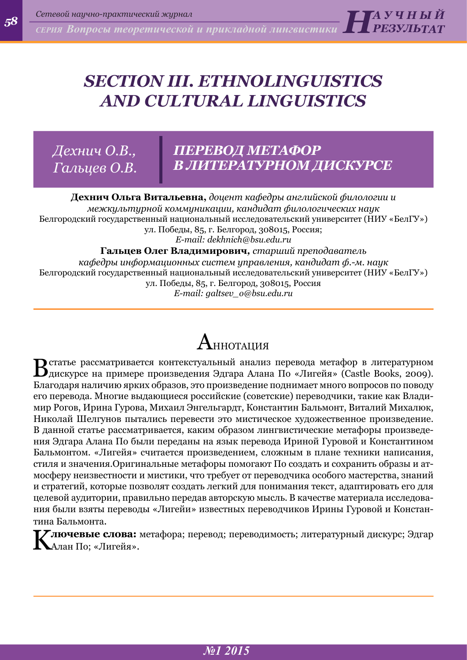*58*

*СЕРИЯ Вопросы теоретической и прикладной лингвистики Н А <sup>У</sup> Ч Н Ы Й РЕЗУЛЬТАТ*

## *section III. Ethnolinguistics and cultural linguistics*

*Дехнич O.В., Гальцев O.В.*

### *ПЕРЕВОД МЕТАФОР В ЛИТЕРАТУРНОМ ДИСКУРСЕ*

**Дехнич Ольга Витальевна,** *доцент кафедры английской филологии и межкультурной коммуникации, кандидат филологических наук* Белгородский государственный национальный исследовательский университет (НИУ «БелГУ») ул. Победы, 85, г. Белгород, 308015, Россия; *E-mail: dekhnich@bsu.edu.ru* **Гальцев Олег Владимирович***, старший преподаватель кафедры информационных систем управления, кандидат ф.-м. наук* Белгородский государственный национальный исследовательский университет (НИУ «БелГУ») ул. Победы, 85, г. Белгород, 308015, Россия

*E-mail: galtsev\_o@bsu.edu.ru*

# ${\bf A}$ ннотация

В статье рассматривается контекстуальный анализ перевода метафор в литературном дискурсе на примере произведения Эдгара Алана По «Лигейя» (Castle Books, 2009). Благодаря наличию ярких образов, это произведение поднимает много вопросов по поводу его перевода. Многие выдающиеся российские (советские) переводчики, такие как Владимир Рогов, Ирина Гурова, Михаил Энгельгардт, Константин Бальмонт, Виталий Михалюк, Николай Шелгунов пытались перевести это мистическое художественное произведение. В данной статье рассматривается, каким образом лингвистические метафоры произведения Эдгара Алана По были переданы на язык перевода Ириной Гуровой и Константином Бальмонтом. «Лигейя» считается произведением, сложным в плане техники написания, стиля и значения.Оригинальные метафоры помогают По создать и сохранить образы и атмосферу неизвестности и мистики, что требует от переводчика особого мастерства, знаний и стратегий, которые позволят создать легкий для понимания текст, адаптировать его для целевой аудитории, правильно передав авторскую мысль. В качестве материала исследования были взяты переводы «Лигейи» известных переводчиков Ирины Гуровой и Константина Бальмонта.

**[***7* **лючевые слова:** метафора; перевод; переводимость; литературный дискурс; Эдгар Алан По; «Лигейя».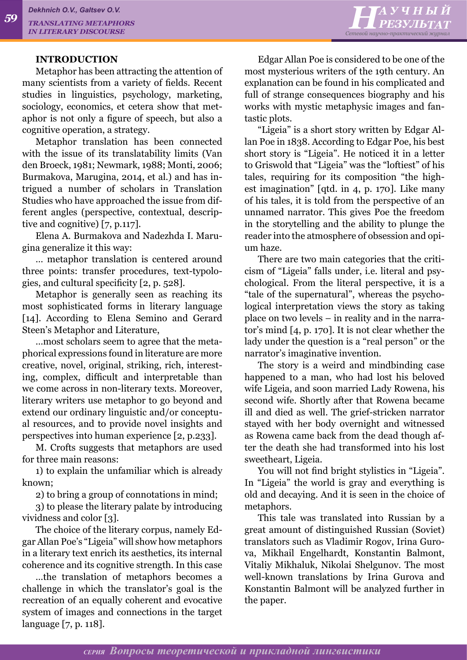#### **INTRODUCTION**

Metaphor has been attracting the attention of many scientists from a variety of fields. Recent studies in linguistics, psychology, marketing, sociology, economics, et cetera show that metaphor is not only a figure of speech, but also a cognitive operation, a strategy.

Metaphor translation has been connected with the issue of its translatability limits (Van den Broeck, 1981; Newmark, 1988; Monti, 2006; Burmakova, Marugina, 2014, et al.) and has intrigued a number of scholars in Translation Studies who have approached the issue from different angles (perspective, contextual, descriptive and cognitive) [7, p.117].

Elena A. Burmakova and Nadezhda I. Marugina generalize it this way:

… metaphor translation is centered around three points: transfer procedures, text-typologies, and cultural specificity [2, p. 528].

Metaphor is generally seen as reaching its most sophisticated forms in literary language [14]. According to Elena Semino and Gerard Steen's Metaphor and Literature,

…most scholars seem to agree that the metaphorical expressions found in literature are more creative, novel, original, striking, rich, interesting, complex, difficult and interpretable than we come across in non-literary texts. Moreover, literary writers use metaphor to go beyond and extend our ordinary linguistic and/or conceptual resources, and to provide novel insights and perspectives into human experience [2, p.233].

M. Crofts suggests that metaphors are used for three main reasons:

1) to explain the unfamiliar which is already known;

2) to bring a group of connotations in mind;

3) to please the literary palate by introducing vividness and color [3].

The choice of the literary corpus, namely Edgar Allan Poe's "Ligeia" will show how metaphors in a literary text enrich its aesthetics, its internal coherence and its cognitive strength. In this case

…the translation of metaphors becomes a challenge in which the translator's goal is the recreation of an equally coherent and evocative system of images and connections in the target language [7, p. 118].

Edgar Allan Poe is considered to be one of the most mysterious writers of the 19th century. An explanation can be found in his complicated and full of strange consequences biography and his works with mystic metaphysic images and fantastic plots.

"Ligeia" is a short story written by Edgar Allan Poe in 1838. According to Edgar Poe, his best short story is "Ligeia". He noticed it in a letter to Griswold that "Ligeia" was the "loftiest" of his tales, requiring for its composition "the highest imagination" [qtd. in 4, p. 170]. Like many of his tales, it is told from the perspective of an unnamed narrator. This gives Poe the freedom in the storytelling and the ability to plunge the reader into the atmosphere of obsession and opium haze.

There are two main categories that the criticism of "Ligeia" falls under, i.e. literal and psychological. From the literal perspective, it is a "tale of the supernatural", whereas the psychological interpretation views the story as taking place on two levels – in reality and in the narrator's mind [4, p. 170]. It is not clear whether the lady under the question is a "real person" or the narrator's imaginative invention.

The story is a weird and mindbinding case happened to a man, who had lost his beloved wife Ligeia, and soon married Lady Rowena, his second wife. Shortly after that Rowena became ill and died as well. The grief-stricken narrator stayed with her body overnight and witnessed as Rowena came back from the dead though after the death she had transformed into his lost sweetheart, Ligeia.

You will not find bright stylistics in "Ligeia". In "Ligeia" the world is gray and everything is old and decaying. And it is seen in the choice of metaphors.

This tale was translated into Russian by a great amount of distinguished Russian (Soviet) translators such as Vladimir Rogov, Irina Gurova, Mikhail Engelhardt, Konstantin Balmont, Vitaliy Mikhaluk, Nikolai Shelgunov. The most well-known translations by Irina Gurova and Konstantin Balmont will be analyzed further in the paper.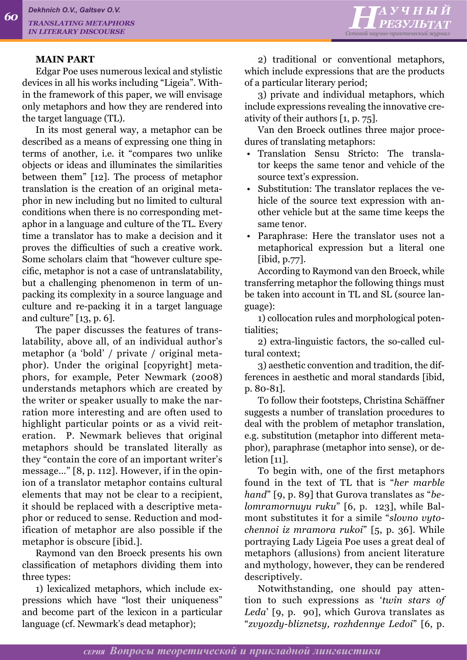#### **MAIN PART**

Edgar Poe uses numerous lexical and stylistic devices in all his works including "Ligeia". Within the framework of this paper, we will envisage only metaphors and how they are rendered into the target language (TL).

In its most general way, a metaphor can be described as a means of expressing one thing in terms of another, i.e. it "compares two unlike objects or ideas and illuminates the similarities between them" [12]. The process of metaphor translation is the creation of an original metaphor in new including but no limited to cultural conditions when there is no corresponding metaphor in a language and culture of the TL. Every time a translator has to make a decision and it proves the difficulties of such a creative work. Some scholars claim that "however culture specific, metaphor is not a case of untranslatability, but a challenging phenomenon in term of unpacking its complexity in a source language and culture and re-packing it in a target language and culture" [13, p. 6].

The paper discusses the features of translatability, above all, of an individual author's metaphor (a 'bold' / private / original metaphor). Under the original [copyright] metaphors, for example, Peter Newmark (2008) understands metaphors which are created by the writer or speaker usually to make the narration more interesting and are often used to highlight particular points or as a vivid reiteration. P. Newmark believes that original metaphors should be translated literally as they "contain the core of an important writer's message…" [8, p. 112]. However, if in the opinion of a translator metaphor contains cultural elements that may not be clear to a recipient, it should be replaced with a descriptive metaphor or reduced to sense. Reduction and modification of metaphor are also possible if the metaphor is obscure [ibid.].

Raymond van den Broeck presents his own classification of metaphors dividing them into three types:

1) lexicalized metaphors, which include expressions which have "lost their uniqueness" and become part of the lexicon in a particular language (cf. Newmark's dead metaphor);

2) traditional or conventional metaphors, which include expressions that are the products of a particular literary period;

*Н А <sup>У</sup> Ч Н Ы Й РЕЗУЛЬТАТ Сетевой научно-практический журнал*

3) private and individual metaphors, which include expressions revealing the innovative creativity of their authors [1, p. 75].

Van den Broeck outlines three major procedures of translating metaphors:

- Translation Sensu Stricto: The translator keeps the same tenor and vehicle of the source text's expression.
- Substitution: The translator replaces the vehicle of the source text expression with another vehicle but at the same time keeps the same tenor.
- Paraphrase: Here the translator uses not a metaphorical expression but a literal one [ibid, p.77].

According to Raymond van den Broeck, while transferring metaphor the following things must be taken into account in TL and SL (source language):

1) collocation rules and morphological potentialities;

2) extra-linguistic factors, the so-called cultural context;

3) aesthetic convention and tradition, the differences in aesthetic and moral standards [ibid, p. 80-81].

To follow their footsteps, Christina Schäffner suggests a number of translation procedures to deal with the problem of metaphor translation, e.g. substitution (metaphor into different metaphor), paraphrase (metaphor into sense), or deletion [11].

To begin with, one of the first metaphors found in the text of TL that is "*her marble hand*" [9, p. 89] that Gurova translates as "*belomramornuyu ruku*" [6, p. 123], while Balmont substitutes it for a simile "*slovno vytochennoi iz mramora rukoi*" [5, p. 36]. While portraying Lady Ligeia Poe uses a great deal of metaphors (allusions) from ancient literature and mythology, however, they can be rendered descriptively.

Notwithstanding, one should pay attention to such expressions as '*twin stars of Leda*' [9, p. 90], which Gurova translates as "*zvyozdy-bliznetsy, rozhdennye Ledoi*" [6, p.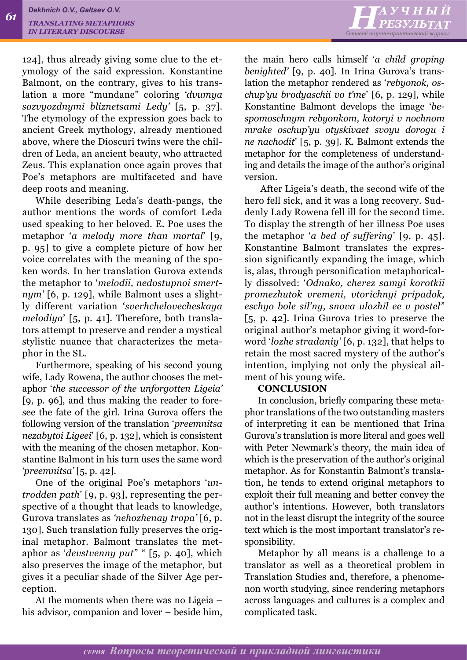124], thus already giving some clue to the etymology of the said expression. Konstantine Balmont, on the contrary, gives to his translation a more "mundane" coloring *'dvumya sozvyozdnymi bliznetsami Ledy'* [5, p. 37]. The etymology of the expression goes back to ancient Greek mythology, already mentioned above, where the Dioscuri twins were the children of Leda, an ancient beauty, who attracted Zeus. This explanation once again proves that Poe's metaphors are multifaceted and have deep roots and meaning.

While describing Leda's death-pangs, the author mentions the words of comfort Leda used speaking to her beloved. E. Poe uses the metaphor '*a melody more than mortal*' [9, p. 95] to give a complete picture of how her voice correlates with the meaning of the spoken words. In her translation Gurova extends the metaphor to '*melodii, nedostupnoi smertnym'* [6, p. 129], while Balmont uses a slightly different variation '*sverhchelovecheskaya melodiya*' [5, p. 41]. Therefore, both translators attempt to preserve and render a mystical stylistic nuance that characterizes the metaphor in the SL.

Furthermore, speaking of his second young wife, Lady Rowena, the author chooses the metaphor '*the successor of the unforgotten Ligeia'* [9, p. 96], and thus making the reader to foresee the fate of the girl. Irina Gurova offers the following version of the translation '*preemnitsa nezabytoi Ligeei*' [6, p. 132], which is consistent with the meaning of the chosen metaphor. Konstantine Balmont in his turn uses the same word *'preemnitsa'* [5, p. 42].

One of the original Poe's metaphors '*untrodden path*' [9, p. 93], representing the perspective of a thought that leads to knowledge, Gurova translates as *'nehozhenay tropa'* [6, p. 130]. Such translation fully preserves the original metaphor. Balmont translates the metaphor as '*devstvenny put'*' " [5, p. 40], which also preserves the image of the metaphor, but gives it a peculiar shade of the Silver Age perception.

At the moments when there was no Ligeia – his advisor, companion and lover – beside him, the main hero calls himself '*a child groping benighted'* [9, p. 40]. In Irina Gurova's translation the metaphor rendered as '*rebyonok, oschup'yu brodyaschii vo t'me*' [6, p. 129], while Konstantine Balmont develops the image '*bespomoschnym rebyonkom, kotoryi v nochnom mrake oschup'yu otyskivaet svoyu dorogu i ne nachodit*' [5, p. 39]. K. Balmont extends the metaphor for the completeness of understanding and details the image of the author's original version.

 After Ligeia's death, the second wife of the hero fell sick, and it was a long recovery. Suddenly Lady Rowena fell ill for the second time. To display the strength of her illness Poe uses the metaphor '*a bed of suffering*' [9, p. 45]. Konstantine Balmont translates the expression significantly expanding the image, which is, alas, through personification metaphorically dissolved: '*Odnako, cherez samyi korotkii promezhutok vremeni, vtorichnyi pripadok, eschyo bole sil'ny, snova ulozhil ee v postel'*' [5, p. 42]. Irina Gurova tries to preserve the original author's metaphor giving it word-forword '*lozhe stradaniy'* [6, p. 132], that helps to retain the most sacred mystery of the author's intention, implying not only the physical ailment of his young wife.

### **CONCLUSION**

In conclusion, briefly comparing these metaphor translations of the two outstanding masters of interpreting it can be mentioned that Irina Gurova's translation is more literal and goes well with Peter Newmark's theory, the main idea of which is the preservation of the author's original metaphor. As for Konstantin Balmont's translation, he tends to extend original metaphors to exploit their full meaning and better convey the author's intentions. However, both translators not in the least disrupt the integrity of the source text which is the most important translator's responsibility.

Metaphor by all means is a challenge to a translator as well as a theoretical problem in Translation Studies and, therefore, a phenomenon worth studying, since rendering metaphors across languages and cultures is a complex and complicated task.